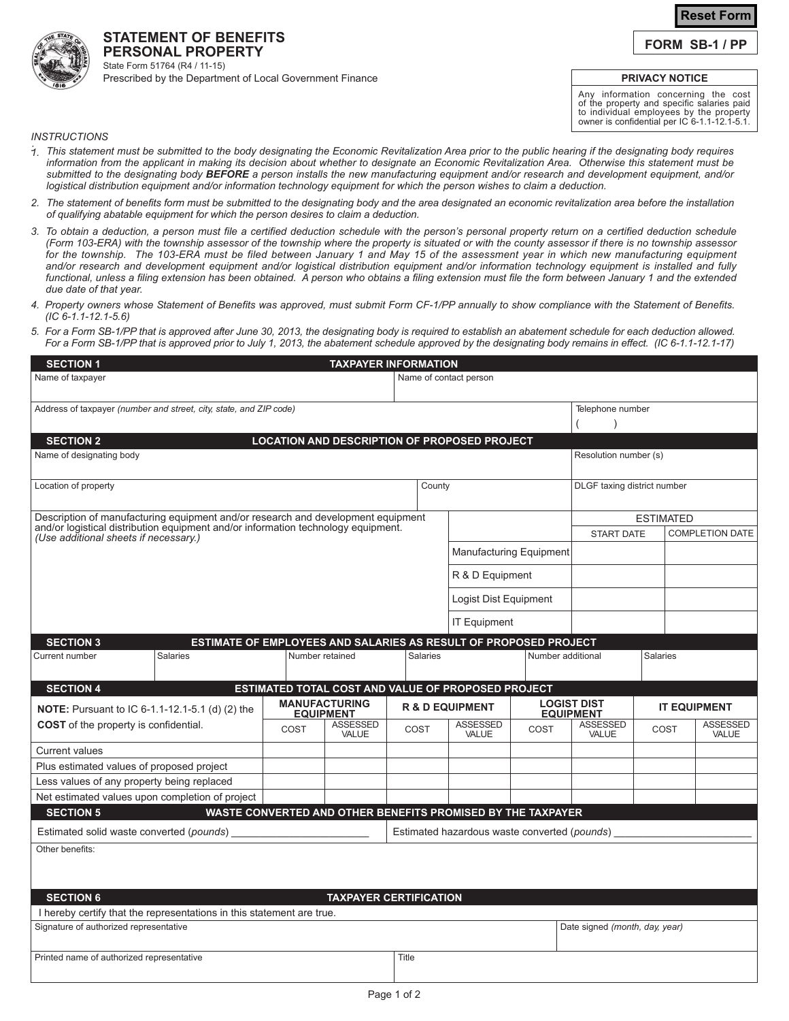# **Reset Form**

**FORM SB-1 / PP**

#### **PERSONAL PROPERTY** State Form 51764 (R4 / 11-15) Prescribed by the Department of Local Government Finance

**STATEMENT OF BENEFITS**

## **PRIVACY NOTICE**

Any information concerning the cost of the property and specific salaries paid to individual employees by the property owner is confidential per IC 6-1.1-12.1-5.1.

#### *INSTRUCTIONS*

- .<br>1. This statement must be submitted to the body designating the Economic Revitalization Area prior to the public hearing if the designating body requires *information from the applicant in making its decision about whether to designate an Economic Revitalization Area. Otherwise this statement must be submitted to the designating body BEFORE a person installs the new manufacturing equipment and/or research and development equipment, and/or logistical distribution equipment and/or information technology equipment for which the person wishes to claim a deduction.*
- *2. The statement of benefits form must be submitted to the designating body and the area designated an economic revitalization area before the installation of qualifying abatable equipment for which the person desires to claim a deduction.*
- 3. To obtain a deduction, a person must file a certified deduction schedule with the person's personal property return on a certified deduction schedule *(Form 103-ERA) with the township assessor of the township where the property is situated or with the county assessor if there is no township assessor for the township. The 103-ERA must be filed between January 1 and May 15 of the assessment year in which new manufacturing equipment and/or research and development equipment and/or logistical distribution equipment and/or information technology equipment is installed and fully functional, unless a filing extension has been obtained. A person who obtains a filing extension must file the form between January 1 and the extended due date of that year.*
- *Property owners whose Statement of Benefits was approved, must submit Form CF-1/PP annually to show compliance with the Statement of Benefits. 4. (IC 6-1.1-12.1-5.6)*
- *For a Form SB-1/PP that is approved after June 30, 2013, the designating body is required to establish an abatement schedule for each deduction allowed. 5. For a Form SB-1/PP that is approved prior to July 1, 2013, the abatement schedule approved by the designating body remains in effect. (IC 6-1.1-12.1-17)*

| <b>SECTION 1</b>                                                                                                           |                                          | <b>TAXPAYER INFORMATION</b>                                 |                            |                                                                            |                                        |                          |                                |                          |  |
|----------------------------------------------------------------------------------------------------------------------------|------------------------------------------|-------------------------------------------------------------|----------------------------|----------------------------------------------------------------------------|----------------------------------------|--------------------------|--------------------------------|--------------------------|--|
| Name of taxpayer                                                                                                           | Name of contact person                   |                                                             |                            |                                                                            |                                        |                          |                                |                          |  |
| Address of taxpayer (number and street, city, state, and ZIP code)                                                         |                                          |                                                             |                            |                                                                            |                                        | Telephone number         |                                |                          |  |
|                                                                                                                            |                                          |                                                             |                            |                                                                            |                                        |                          |                                |                          |  |
| <b>SECTION 2</b>                                                                                                           |                                          | LOCATION AND DESCRIPTION OF PROPOSED PROJECT                |                            |                                                                            |                                        |                          |                                |                          |  |
| Name of designating body<br>Resolution number (s)                                                                          |                                          |                                                             |                            |                                                                            |                                        |                          |                                |                          |  |
| Location of property                                                                                                       |                                          |                                                             |                            | County                                                                     |                                        |                          | DLGF taxing district number    |                          |  |
| Description of manufacturing equipment and/or research and development equipment                                           |                                          |                                                             |                            |                                                                            | <b>ESTIMATED</b>                       |                          |                                |                          |  |
| and/or logistical distribution equipment and/or information technology equipment.<br>(Use additional sheets if necessary.) |                                          |                                                             |                            | <b>Manufacturing Equipment</b><br>R & D Equipment<br>Logist Dist Equipment |                                        | <b>START DATE</b>        |                                | <b>COMPLETION DATE</b>   |  |
|                                                                                                                            |                                          |                                                             |                            |                                                                            |                                        |                          |                                |                          |  |
|                                                                                                                            |                                          |                                                             |                            |                                                                            |                                        |                          |                                |                          |  |
|                                                                                                                            |                                          |                                                             |                            |                                                                            |                                        |                          |                                |                          |  |
|                                                                                                                            |                                          | <b>IT Equipment</b>                                         |                            |                                                                            |                                        |                          |                                |                          |  |
| <b>SECTION 3</b><br>ESTIMATE OF EMPLOYEES AND SALARIES AS RESULT OF PROPOSED PROJECT                                       |                                          |                                                             |                            |                                                                            |                                        |                          |                                |                          |  |
| Current number<br>Salaries                                                                                                 |                                          | Number retained                                             | <b>Salaries</b>            |                                                                            | Number additional                      |                          | <b>Salaries</b>                |                          |  |
| <b>SECTION 4</b>                                                                                                           |                                          | ESTIMATED TOTAL COST AND VALUE OF PROPOSED PROJECT          |                            |                                                                            |                                        |                          |                                |                          |  |
| NOTE: Pursuant to IC 6-1.1-12.1-5.1 (d) (2) the                                                                            | <b>MANUFACTURING</b><br><b>EQUIPMENT</b> |                                                             | <b>R &amp; D EQUIPMENT</b> |                                                                            | <b>LOGIST DIST</b><br><b>EQUIPMENT</b> |                          | <b>IT EQUIPMENT</b>            |                          |  |
| <b>COST</b> of the property is confidential.                                                                               | COST                                     | <b>ASSESSED</b><br>VALUE                                    | COST                       | <b>ASSESSED</b><br>VALUE                                                   | COST                                   | <b>ASSESSED</b><br>VALUE | COST                           | <b>ASSESSED</b><br>VALUE |  |
| <b>Current values</b>                                                                                                      |                                          |                                                             |                            |                                                                            |                                        |                          |                                |                          |  |
| Plus estimated values of proposed project                                                                                  |                                          |                                                             |                            |                                                                            |                                        |                          |                                |                          |  |
| Less values of any property being replaced                                                                                 |                                          |                                                             |                            |                                                                            |                                        |                          |                                |                          |  |
| Net estimated values upon completion of project                                                                            |                                          |                                                             |                            |                                                                            |                                        |                          |                                |                          |  |
| <b>SECTION 5</b>                                                                                                           |                                          | WASTE CONVERTED AND OTHER BENEFITS PROMISED BY THE TAXPAYER |                            |                                                                            |                                        |                          |                                |                          |  |
| Estimated solid waste converted (pounds)                                                                                   |                                          |                                                             |                            | Estimated hazardous waste converted (pounds)                               |                                        |                          |                                |                          |  |
| Other benefits:                                                                                                            |                                          |                                                             |                            |                                                                            |                                        |                          |                                |                          |  |
| <b>SECTION 6</b>                                                                                                           |                                          | <b>TAXPAYER CERTIFICATION</b>                               |                            |                                                                            |                                        |                          |                                |                          |  |
| I hereby certify that the representations in this statement are true.                                                      |                                          |                                                             |                            |                                                                            |                                        |                          |                                |                          |  |
| Signature of authorized representative                                                                                     |                                          |                                                             |                            |                                                                            |                                        |                          | Date signed (month, day, year) |                          |  |
| Printed name of authorized representative                                                                                  |                                          |                                                             |                            | Title                                                                      |                                        |                          |                                |                          |  |